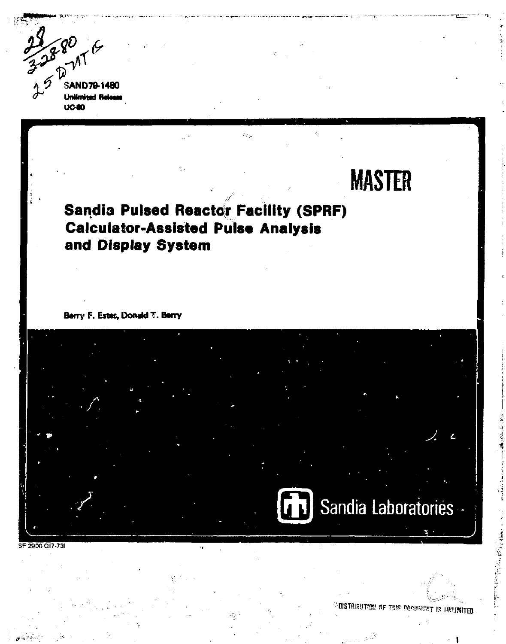$32880$ <br> $35821$ **SAND79-1480 Unlimited Release**  $UC40$ 

# لوالة **MASTER Sandia Pulsed Reactor Facility (SPRF) Calculator-Assisted Pulse Analysis** and Display System Berry F. Estes, Donald T. Berry Sandia Laboratories SF 2900 017-73)

ISTBIBUTION OF THIS DOCUMENT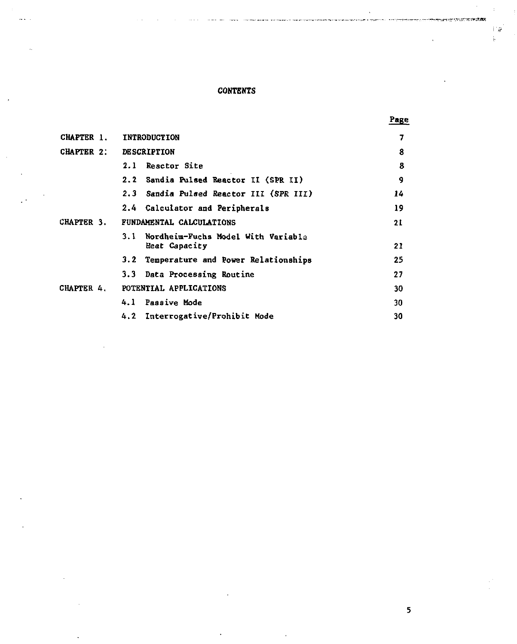# **CONTENTS**

| CHAPTER 1.        | <b>INTRODUCTION</b>                                        | 7  |
|-------------------|------------------------------------------------------------|----|
| <b>CHAPTER 2:</b> | <b>DESCRIPTION</b>                                         | 8  |
|                   | Reactor Site<br>2.1                                        | 8  |
|                   | 2.2 Sandia Pulsed Reactor II (SPR II)                      | 9  |
|                   | 2.3 Sandia Pulsed Reactor III (SPR III)                    | 14 |
|                   | 2.4 Calculator and Peripherals                             | 19 |
| CHAPTER 3.        | FUNDAMENTAL CALCULATIONS                                   | 21 |
|                   | Nordheim-Fuchs Model With Variable<br>3.1<br>Heat Capacity | 21 |
|                   | Temperature and Power Relationships<br>3.2                 | 25 |
|                   | 3.3 Data Processing Routine                                | 27 |
| CHAPTER 4.        | POTENTIAL APPLICATIONS                                     | 30 |
|                   | 4.1 Passive Mode                                           | 30 |
|                   | 4.2 Interrogative/Prohibit Mode                            | 30 |

**5** 

**Page** 

د: í.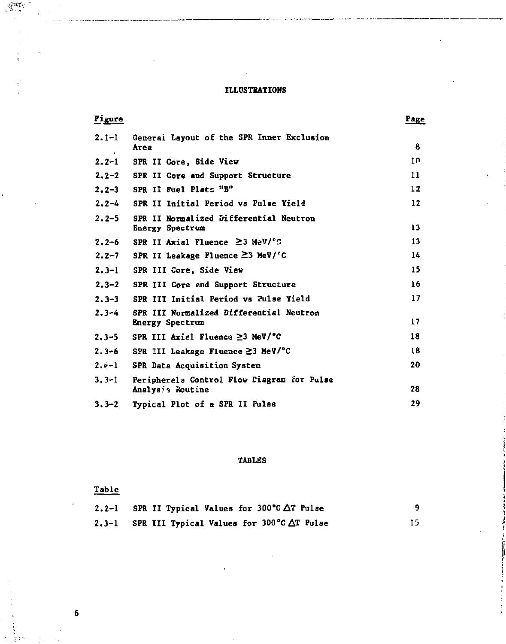#### **ILLUSTRATIONS**

| Figure      |                                                               | Page |
|-------------|---------------------------------------------------------------|------|
| $2.1 - 1$   | General Layout of the SPR Inner Exclusion<br>Area             | 8    |
| $2.2 - 1$   | SPR II Core, Side View                                        | 10   |
| $2, 2 - 2$  | SPR II Core and Support Structure                             | 11   |
| $2.2 - 3$   | SPR II Fuel Plate "B"                                         | 12   |
| $2 - 2 - 4$ | SPR II Initial Period vs Pulse Yield                          | 12   |
| $2.2 - 5$   | SPR II Normalized Differential Neutron<br>Energy Spectrum     | 13   |
| $2.2 - 6$   | SPR II Axial Fluence $\geq 3$ HeV/ <sup>c</sup> C             | 13   |
| $2.2 - 7$   | SPR II Leakage Fluence ≥3 MeV/'C                              | 14   |
| $2.3 - 1$   | SPR III Core, Side View                                       | 15   |
| $2.3 - 2$   | SPR III Core and Support Structure                            | 16   |
| $2.3 - 3$   | SPR III Initial Period vs 2ulse Yield                         | 17   |
| $2 - 3 - 4$ | SPR III Normalized Differential Neutron<br>Energy Spectrum    | 17   |
| $2.3 - 5$   | SPR III Axisl Fluence $\geq$ 3 MeV/°C                         | 18   |
| $2.3 - 6$   | SPR III Leakage Fluence $\geq$ 3 MeV/°C                       | 18   |
| $2.0 - 1$   | SPR Data Acquisition System                                   | 20   |
| $3.3 - 1$   | Peripherels Control Flow Fiagram for Pulse<br>Analys: Routine | 28   |
| $3.3 - 2$   | Tynical Plot of a SPR II Pulse                                | 29   |

## **TABLES**

**3.3-2 Typical Plot of a SPR II Pulse 29** 

# Table

| $2.2 - 1$ | SPR II Typical Values for 300°C $\Delta$ T Pulse |     |
|-----------|--------------------------------------------------|-----|
|           | 2.3-1 SPR III Typical Values for 300°C ∆T Pulse  | 15. |

 $\ddot{\mathbf{6}}$ 

 $\frac{1}{2} \frac{1}{9} \frac{1}{3} \frac{1}{3} \frac{1}{3} \frac{1}{3} \frac{1}{3} \frac{1}{3}$ 

Ń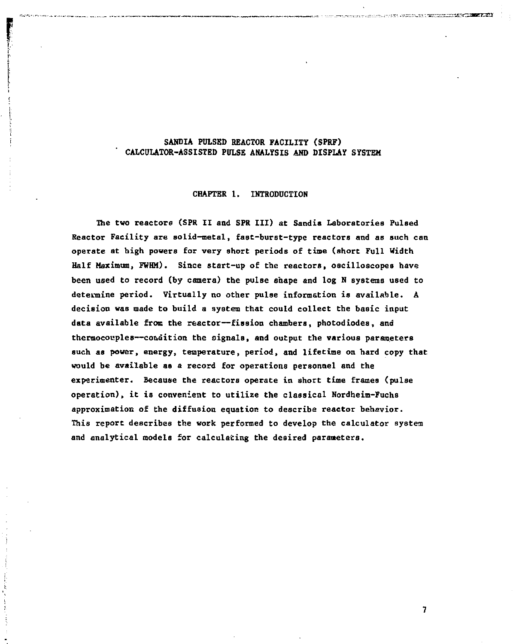#### **SANDIA PULSED REACTOR FACILITY (SPRF) CALCULATOR-ASSISTED PULSE ANALYSIS AND DISPLAY SYSTEM**

#### **CHAPTER 1. INTRODUCTION**

**The two reactors (SPR II and SPR III) at Sandis Laboratories PulBed Reactor Facility are solid-metal, fast-burat-type reactors and as such can operate at high powers for very short periods of time (short Full Width Half Maximum, FWHM). Since start-up of the reactors, oscilloscopes have been used to record (by camera) the pulse shape and log N systems used to determine period. Virtually no other pulse information is available. A decision was made to build a system that could collect the basic input data available from the reactor—fission chambers, photodiodes, and thermocouples—condition the signals, and output the various parameters such as power, energy, temperature, period, and lifetime on hard copy that would be available as a record for operations personnel and the experimenter. Because the reactors operate in short time frames (pulse operation), it is convenient to utilize the classical Nordheim-Fuchs approximation of the diffusion equation to describe reactor behavior. This report describes the work performed to develop the calculator system and analytical models for calculating the desired parameters.**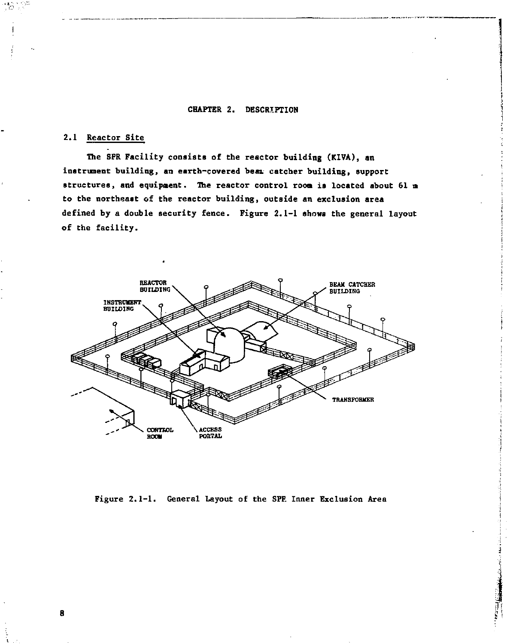#### **CHAPTER 2. DESCRIPTION**

## **2.1 Reactor Site**

**The SPR Facility consists of the reactor building (KIVA), an instrument building, an earth-covered bean, catcher building, support structures, and equipaent. The reactor control room is located about 61 m to the northeast of the reactor building, outside an exclusion area defined by a double security fence. Figure 2.1-1 shows the general layout of the facility.** 



**Figure 2.1-1. General Layout of the SFF. Inner Exclusion Area** 

R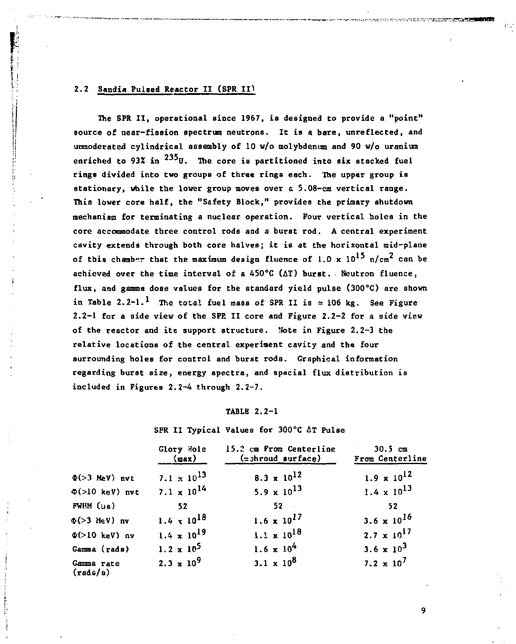## **I; 2.2 Sandia Pulsed Reactor II (SPR** *IV*

*<sup>I</sup>* **The SPR II, operational since 1967, is designed to provide a "point" i source of near-fission spectrum neutrons. It is a bare, unreflected, and ! unmoderated cylindrical assembly of 10 w/o molybdenum and 90 w/o uranium**  enriched to 93% in <sup>235</sup>U. The core is partitioned into six stacked fuel **rings divided into two groups of three rings each. The upper group is stationary, while the lower group moves over a 5.08-cm vertical range. This lower core half, the "Safety Block," provides the primary shutdown mechanism for terminating a nuclear operation. Four vertical holes in the core accommodate three control.rods and a burst rod. A central experiment cavity extends through both core halves; it is at the horizontal mid-plane**  of this chamber that the maximum design fluence of  $1.0 \times 10^{15}$  n/cm<sup>2</sup> can be **achieved over the time interval of a 450°C (AT) burst. Neutron fluence, flux, and gamma dose values for the standard yield pulse (300°C) are shown**  in Table 2.2-1.<sup>1</sup> The total fuel mass of SPR II is  $\approx 106$  kg. See Figure **2.2-1 for a side view of the SPE II core and Figure 2.2-2 for a side view of the reactor and its support structure. Note in Figure 2.2-3 the relative locations of the central experiment cavity and the four surrounding holes for control and burst rods. Graphical information regarding burst size, energy spectra, and spacial flux distribution is included in Figures 2.2-4 through 2.2-7.** 

#### **TABLE 2.2-1**

**SPR II Typical Values for 300°C AT Pulse** 

|                                  | Glory Hole<br>$\{max\}$ | 15.2 cm From Centerline<br>$(z$ shroud surface) | 30.5cm<br>From Centerline |
|----------------------------------|-------------------------|-------------------------------------------------|---------------------------|
| $\Phi(>3$ MeV) nvt               | $7.1 \times 10^{13}$    | $8.3 \times 10^{12}$                            | $1.9 \times 10^{12}$      |
| $\Phi$ (>10 keV) nvt             | $7.1 \times 10^{14}$    | 5.9 $\times$ 10 <sup>13</sup>                   | $1.4 \times 10^{13}$      |
| FWHM (us)                        | 52                      | $52 -$                                          | 52                        |
| $\Phi(>3$ MeV) nv                | $1.4 \times 10^{18}$    | $1.6 \times 10^{17}$                            | 3.6 x $10^{16}$           |
| $\Phi$ (>10 keV) nv              | $1.4 \times 10^{19}$    | $1.1 \times 10^{18}$                            | $2.7 \times 10^{17}$      |
| Gamma (rads)                     | $1.2 \times 10^5$       | $1.6 \times 10^{4}$                             | 3.6 $\times 10^3$         |
| Gamma rate<br>$(\text{rad }s/s)$ | $2.3 \times 10^{9}$     | $3.1 \times 10^8$                               | $7.2 \times 10^7$         |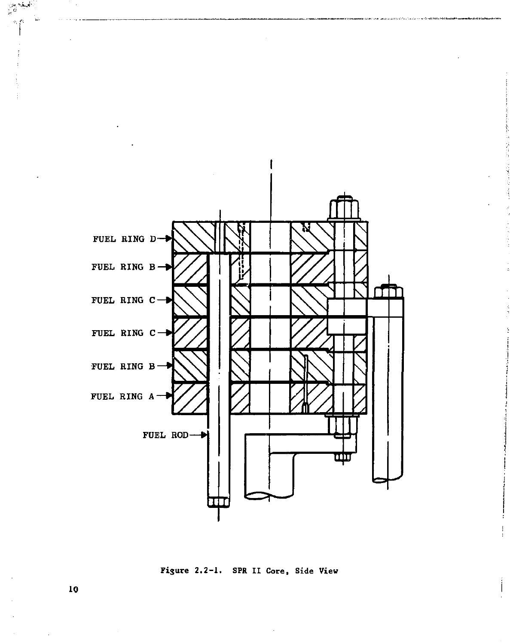

**Figure 2.2-1. SPR II Core, Side View**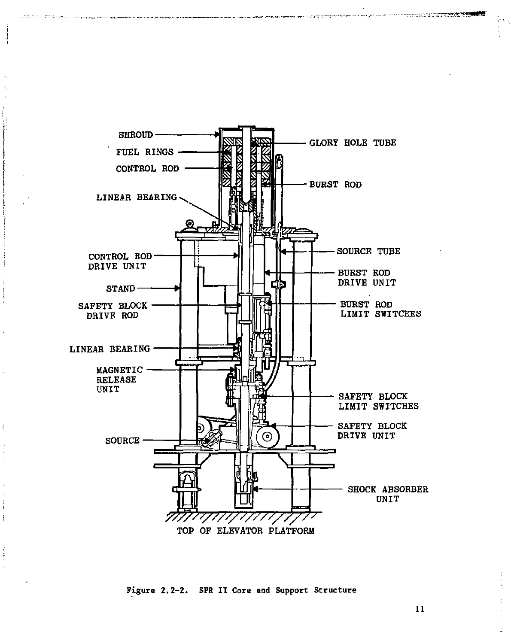

Bartha Peand, wile

Figure 2.2-2. SPR II Core and Support Structure

11

فالورفات المحمدة الموري وجوداها مراسيسيون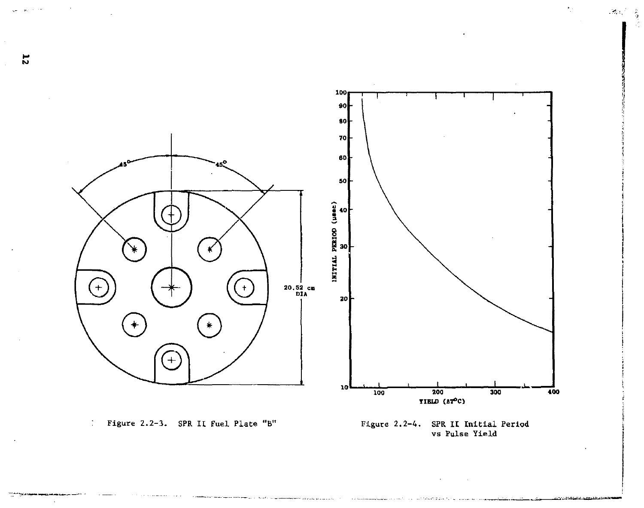

 $-32\alpha_s^2-\frac{3}{2}$ 

 $\overline{z}$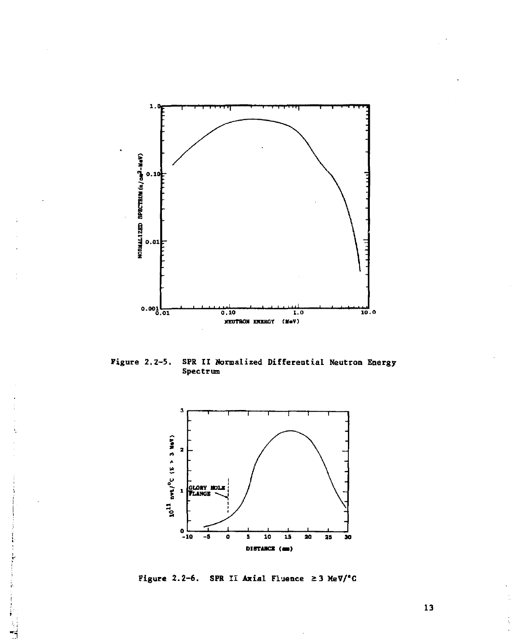

SPR II Normalized Differential Neutron Energy<br>Spectrum Figure  $2, 2-5$ .



Figure 2.2-6. SPR II Axial Fluence  $\geq$  3 MeV/°C

ł

 $\frac{1}{2}$ 

 $\overline{13}$ 

ĵ.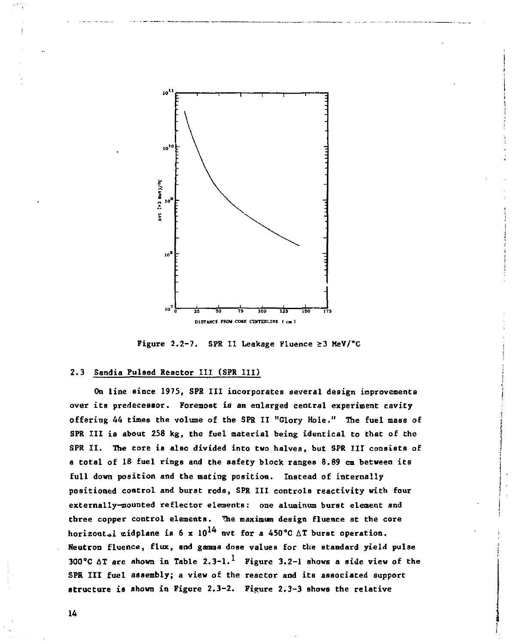

**Figure 2.2-7. SPR II Leakage Fluence >3 MeV/°C** 

#### **2.3 Sandia Pulsed Reactor III (SPR III)**

**On line since 1975, SPR III incorporates several design improvements over its predecessor. Foremost is an enlarged central experiment cavity offering 44 times the volume of the SPR II "Glory Hole." The fuel mass of SPR III is about 258 kg, the fuel material being identical to that of the SPR II. The core is also divided into two halves, but SPR III consists of a total of 18 fuel rings and the safety block ranges 8.89 cm between its full down position and the mating position. Instead of internally positioned control and burst rods, SPR III controls reactivity with four externally-mounted reflector elements: one aluminum burst element and three copper control elements. The maximum design fluence at the core**  horizont<sub>al</sub> midplane is  $6 \times 10^{14}$  nvt for a 450°C  $\triangle T$  burst operation. **Neutron fluence, flux, and gamma dose values for the standard yield pulse 300°C AT are shown in Table 2.3-1. Figure 3.2-1 shows a side view of the SPR III fuel assembly; a view of the reactor and its associated support structure is shown in Figure 2.3-2. Figure 2,3-3 shows the relative**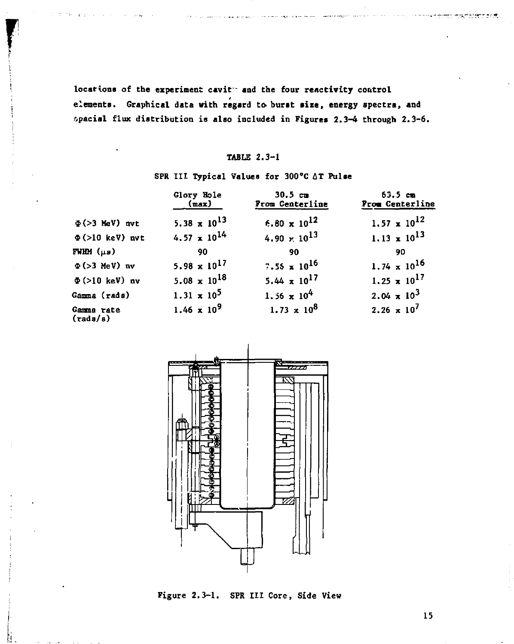**locations of the experiment cavit- and the four reactivity control**  elements. Graphical data with regard to burst size, energy spectra, and **special flux distribution is also included in Figures 2.3-4 through 2.3-6.** 

#### **TABLE 2.3-1**

# **SPR III Typical Values for 300°C AT Pulse**

|                                  | <b>Glory Hole</b><br>(max)     | 30.5 <sub>cm</sub><br>From Centerline | 63.5cm<br>From Centerline |
|----------------------------------|--------------------------------|---------------------------------------|---------------------------|
| $\Phi$ (>3 MeV) nvt              | 5.38 $\times$ 10 <sup>13</sup> | $6.80 \times 10^{12}$                 | $1.57 \times 10^{12}$     |
| $\Phi$ (>10 keV) nvt             | $4.57 \times 10^{14}$          | 4.90 $\times$ 10 <sup>13</sup>        | $1.13 \times 10^{13}$     |
| FWHM $(\mu s)$                   | 90                             | 90                                    | 90                        |
| $\Phi$ (>3 MeV) nv               | 5.98 $\times$ 10 <sup>17</sup> | 7.55 x 10 <sup>16</sup>               | $1.74 \times 10^{16}$     |
| $\Phi$ (>10 keV) nv              | 5.08 $\times$ 10 <sup>18</sup> | $5.44 \times 10^{17}$                 | $1.25 \times 10^{17}$     |
| Gamma (rads)                     | $1.31 \times 10^5$             | 1.56 $\times 10^{4}$                  | $2.04 \times 10^{3}$      |
| Gamma rate<br>$(\text{rad }s/s)$ | $1.46 \times 10^9$             | $1.73 \times 10^8$                    | $2.26 \times 10^7$        |



**Figure 2.3-1. SPR III Core, Side View**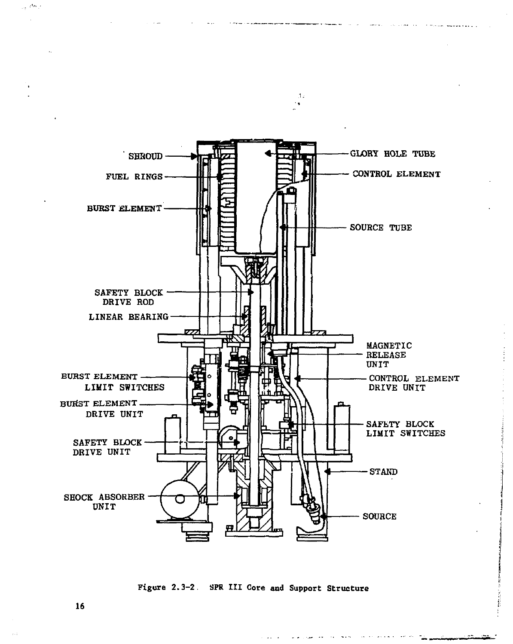

 $\Lambda$ ٠.

**Figure 2.3-2. SPR III Core and Support Structure** 

**16** 

مراقصين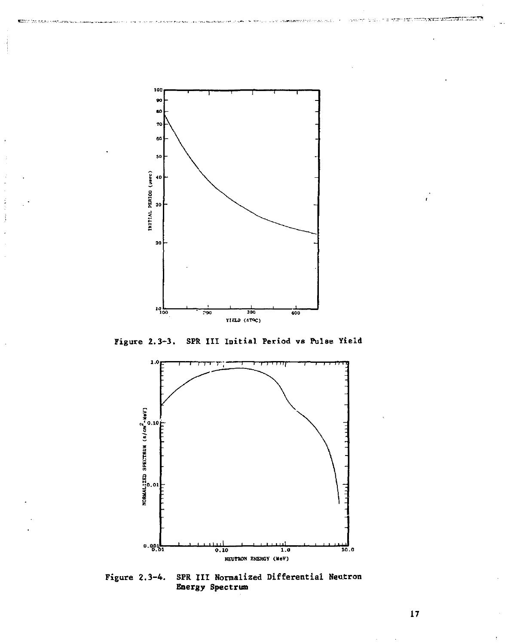

Í  $\mathbf{i}$ 

Figure  $2.3-3.$ SPR III Initial Period vs Pulse Yield



SPR III Normalized Differential Neutron<br>Energy Spectrum Figure  $2.3-4.$ 

 $17\,$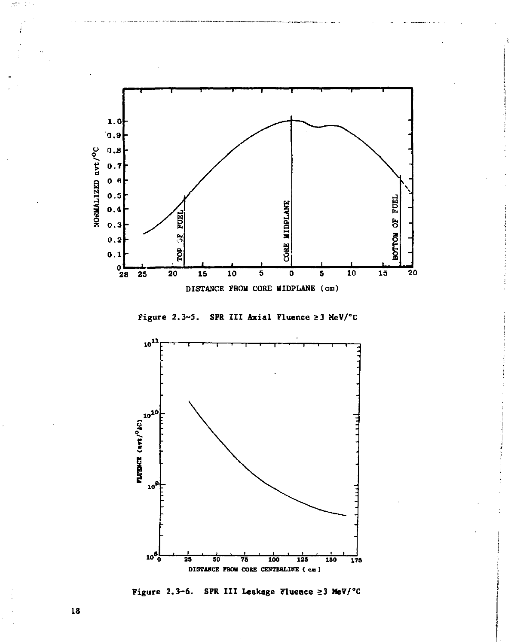





Figure 2.3-6. SPR III Leakage Fluence ≥3 MeV/°C

18

溶性にも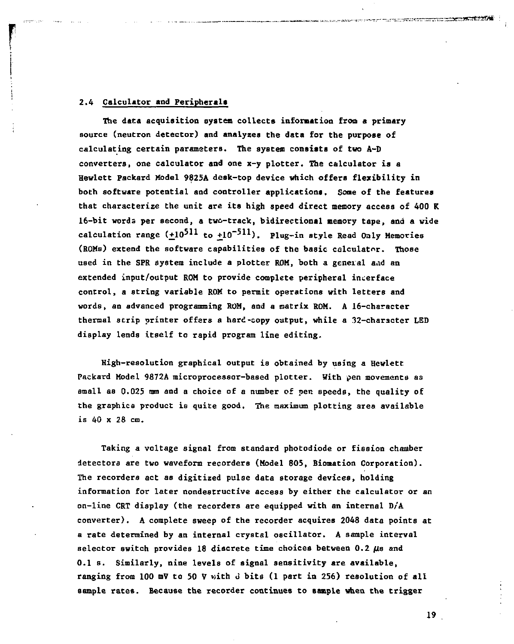#### **2.4 Calculator and Peripheral\***

**The data acquisition system collects information from a primary source (neutron detector) and analyzes the data for the purpose of calculating certain parameters. The system consists of two A-D converterst one calculator and one x-y plotter. The calculator is a Hewlett Packard Model 9825A desk-top device which offers flexibility in both software potential and controller applications. Some of the features that characterize the unit are its high speed direct memory access of 400 K 16-bit words per second, a two-track, bidirectional memory tape, and a wide**  calculation range  $(+10^{511}$  to  $+10^{-511})$ . Plug-in style Read Only Memories **(ROMs) extend the software capabilities of the basic calculator. Those used in the SPR system include a plotter ROM, both a general and an extended input/output ROM to provide complete peripheral interface control, a string variable ROM to permit operations with letters and words, an advanced programming ROM, and a matrix ROM. A 16-character thermal strip printer offers a hard-copy output, while a 32-character LED display lends itself to rapid program line editing.** 

**High-resolution graphical output is obtained by using a Hewlett Packard Model 9872A microprocessor-based plotter. With pen movements as small as 0.025 mm and a choice of a number of pen speeds, the quality of the graphics product is quite good. The maximum plotting area available is 40 x 28 cm.** 

**Taking a voltage signal from standard photodiode or fission chamber detectors are two waveform recorders (Model 805, Biomation Corporation). The recorders act as digitized pulse data storage devices, holding information for later nondestructive access by either the calculator or an on-line CRT display (the recorders are equipped with an internal D/'A converter). A complete sweep of the recorder acquires 2048 data points at a rate determined by an internal crystal oscillator. A sample interval selector switch provides 18 discrete time choices between 0.2 /is and 0.1 s. Similarly, nine levels of signal sensitivity are available, ranging from 100 mV to 50 V with J bits (1 part in 256) resolution of all sample rates. Because the recorder continues to sample when the trigger**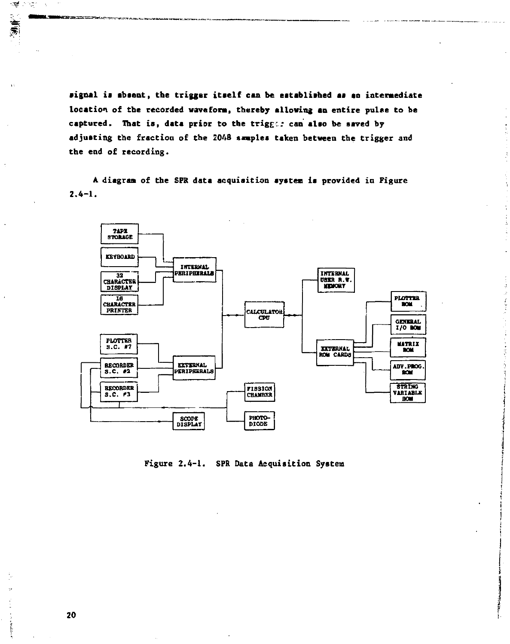signal is absent, the trigger itself can be established as an intermediate location of the recorded waveform, thereby allowing an entire pulse to be captured. That is, data prior to the trigger can also be saved by adjusting the fraction of the 2048 samples taken between the trigger and the end of recording.

A diagram of the SPR data acquisition system is provided in Figure  $2.4 - 1.$ 



Figure 2.4-1. SPR Data Acquisition System

j

नाई आहेत À,

美景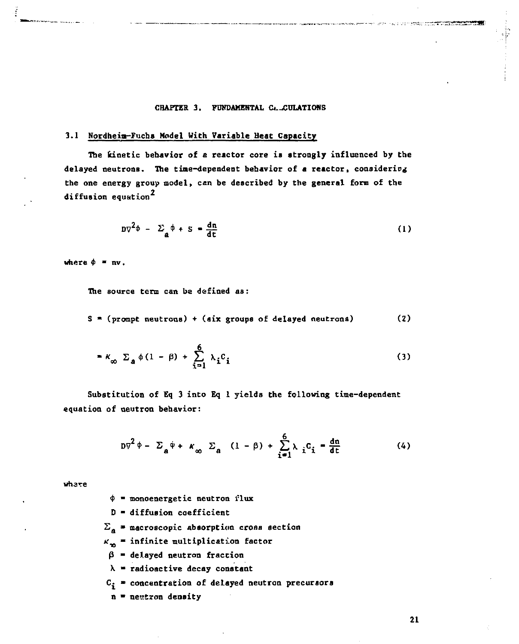#### CHAPTER 3. FUNDAMENTAL C. CULATIONS

#### **3.1 Nordheia-Fuchs Model With Variable Heat Capacity**

The kinetic behavior of a reactor core is strongly influenced by the **delayed neutrons. The tine-dependent behavior of a reactor, considering the one energy group model, can be described by the general form of the 2 diffusion equation** 

$$
D\nabla^2 \phi - \Sigma_{\mathbf{a}} \phi + S = \frac{d\mathbf{n}}{d\mathbf{t}} \tag{1}
$$

where  $\phi = nv$ .

**The source term can be defined as:** 

**S « (prompt neutrons) + (six groups of delayed neutrons) (2)** 

$$
= \kappa_{\infty} \ \Sigma_{a} \ \phi (1 - \beta) + \sum_{i=1}^{6} \lambda_{i} c_{i} \tag{3}
$$

**Substitution of Eq 3 into Eq 1 yields the following time-dependent equation of neutron behavior:** 

$$
D\nabla^2 \phi - \Sigma_a \dot{\phi} + \kappa_\infty \Sigma_a (1 - \beta) + \sum_{i=1}^6 \lambda_i c_i - \frac{dn}{dt}
$$
 (4)

**wh3x:e** 

- **\$ monoenergetic neutron flux**
- **D diffusion coefficient**
- $\Sigma$ <sub>a</sub> = macroscopic absorption cross section
- *k'v* **infinite multiplication factor**
- $\beta$  = delayed neutron fraction
- **X radioactive decay constant**
- **C£ concentration of delayed neutron precursors**
- **n » nestron density**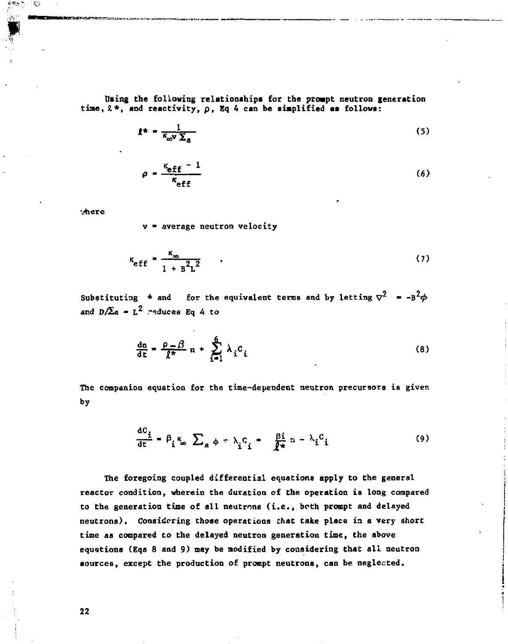**Uting the following relationships for Che prompt neutron generation**  time,  $2 *$ , and reactivity,  $\rho$ , Eq 4 can be simplified as follows:

$$
f^* = \frac{1}{\kappa_{\text{ov}} \Sigma_{\text{a}}} \tag{5}
$$

$$
\rho = \frac{\kappa_{\text{eff}} - 1}{\kappa_{\text{eff}}}
$$
 (6)

there

X9

**v » average neutron velocity** 

$$
\kappa_{\text{eff}} = \frac{\kappa_{\infty}}{1 + \mathbf{B}^2 \mathbf{L}^2} \tag{7}
$$

Substituting \* and for the equivalent terms and by letting  $\sigma^2$  =  $-B^2\phi$ and  $D/\Sigma$ a =  $L^2$  reduces Eq 4 to

$$
\frac{dn}{dt} = \frac{\rho - \beta}{f^*} n + \sum_{i=1}^{6} \lambda_i c_i
$$
 (8)

**The companion equation for the time-dependent neutron precursors ia given by** 

$$
\frac{dC_i}{dt} = \beta_i \kappa_o \sum_a \phi = \lambda_i C_i = \frac{\beta i}{\ell^*} n - \lambda_i C_i \tag{9}
$$

**The foregoing coupled differential equations apply to the general reactor condition, wherein the duration of the operation is long compared to the generation time of all neutrons (i.e., both prompt and delayed neutrons). Considering those operations that take place in a very short time as compared to the delayed neutron generation time, the above equations (Eqs 8 and 9) may be modified by considering that all neutron aources, except the production of prompt neutrona, can be neglected.**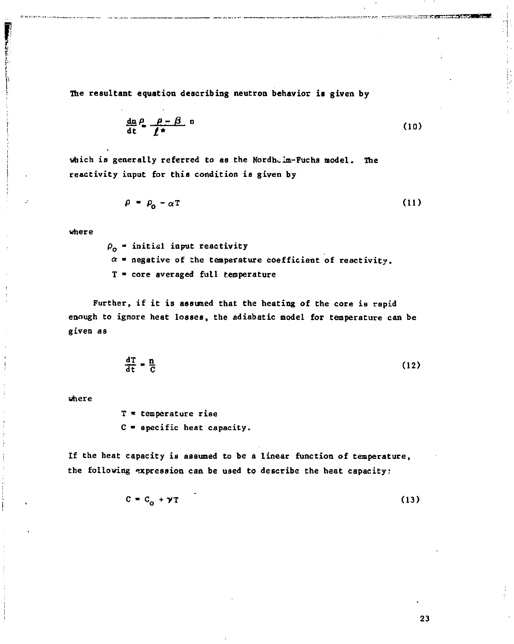**The resultant equation describing neutron behavior it given by** 

$$
\frac{d\mathbf{n}}{dt} \stackrel{\rho}{=} \frac{\rho - \beta}{\ell^*} \mathbf{n} \tag{10}
$$

which is generally referred to as the Nordh<sub>cim</sub>-Fuchs model. The **reactivity input for this condition is given by** 

$$
\rho = \rho_0 - \alpha T \tag{11}
$$

**where** 

**p 0 - initia l input reactivity** 

 $\alpha$  **\*** negative of the temperature coefficient of reactivity.

**T • core averaged full temperature** 

**Further, if it is assumed that the heating of the core is rapid enough to ignore heat losses, the adiabatic model for temperature can be given as** 

$$
\frac{d\mathbf{T}}{dt} = \frac{\mathbf{n}}{C} \tag{12}
$$

**where** 

**T \* temperature ris e C • specific heat capacity.** 

**If the heat capacity is assumed to be a linear function of temperature, the following expression can be used to describe the heat capacity;** 

$$
C = C_0 + \gamma T \tag{13}
$$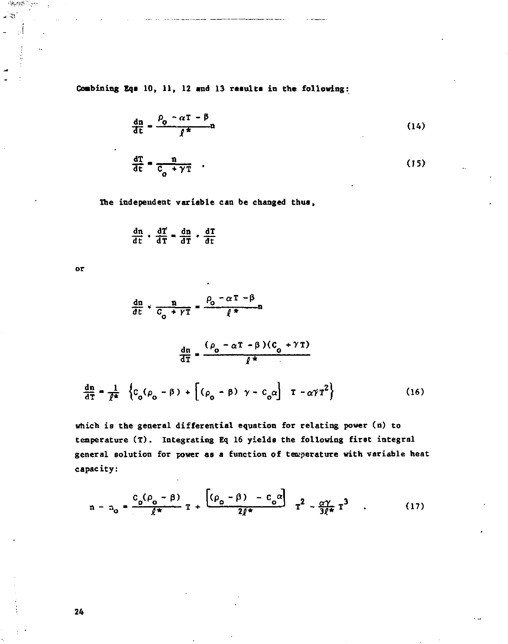Combining Eqs 10, 11, 12 and 13 results in the following:

$$
\frac{dn}{dt} = \frac{\rho_0 - \alpha T - \beta}{f^*}n\tag{14}
$$
\n
$$
\frac{dT}{dt} = \frac{n}{C_0 + \gamma T} \tag{15}
$$

The independent variable can be changed thus,

$$
\frac{dn}{dt} \cdot \frac{dT}{dT} = \frac{dn}{dT} \cdot \frac{dT}{dt}
$$

 $_{\text{or}}$ 

活动感 وجالد

$$
\frac{dn}{dt} \cdot \frac{n}{c_o + \gamma T} = \frac{\rho_o - \alpha T - \beta}{\ell^*} n
$$
\n
$$
\frac{dn}{dT} = \frac{(\rho_o - \alpha T - \beta)(C_o + \gamma T)}{\ell^*}
$$
\n
$$
\frac{dn}{dT} = \frac{1}{\ell^*} \left\{c_o(\rho_o - \beta) + [(\rho_o - \beta) \gamma - c_o \alpha] T - \alpha \gamma T^2\right\}
$$
\n(16)

which is the general differential equation for relating power (n) to temperature (T). Integrating Eq 16 yields the following first integral general solution for power as a function of temperature with variable heat capacity:

$$
n - n_0 = \frac{C_0(\rho_0 - \beta)}{\ell^*} T + \frac{[(\rho_0 - \beta) - C_0\alpha]}{2\ell^*} T^2 - \frac{\alpha\gamma}{3\ell^*} T^3
$$
 (17)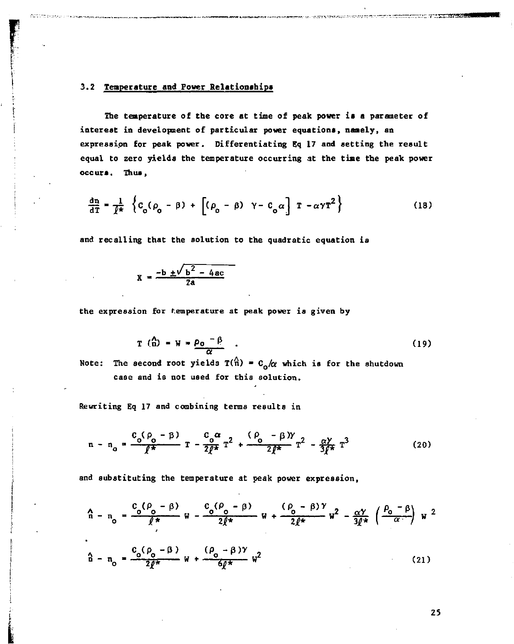## **3.2 Temperature and Power Relationships**

**The temperature of the core at time of peak power is a parameter of interest in development of particular power equations, namely, an expression for peak power. Differentiating Eq 17 and setting the result equal to zero yields the temperature occurring 3t the time the peak power occurs. Thus,** 

$$
\frac{d\mathbf{n}}{d\mathbf{T}} = \frac{1}{\ell^*} \left\{ c_o(\rho_o - \beta) + \left[ (\rho_o - \beta) \gamma - c_o \alpha \right] \mathbf{T} - \alpha \gamma \mathbf{T}^2 \right\}
$$
(18)

**and recalling that the solution to the quadratic equation ia** 

$$
X = \frac{-b \pm \sqrt{b^2 - 4ac}}{2a}
$$

**the expression for temperature at peak power is given by** 

$$
T(\hat{\Omega}) = W = \frac{\rho_0 - \beta}{\alpha} \tag{19}
$$

**Note: The second root yields T(n) - C<sup>0</sup> /a which is for the shutdown case and is not used for this solution.** 

**Rewriting Eq 17 and combining terms results in** 

$$
n - n_0 = \frac{c_0 (\rho_0 - \beta)}{\ell^*} T - \frac{c_0 \alpha}{2 \ell^*} T^2 + \frac{(\rho_0 - \beta) \gamma}{2 \ell^*} T^2 - \frac{\alpha \gamma}{3 \ell^*} T^3
$$
 (20)

**and substituting the temperature at peak power expression,** 

$$
\hat{n} - n_0 = \frac{c_0(\rho_0 - \beta)}{\ell^*} w - \frac{c_0(\rho_0 - \beta)}{2\ell^*} w + \frac{(\rho_0 - \beta)Y}{2\ell^*} w^2 - \frac{\alpha Y}{3\ell^*} \left(\frac{\rho_0 - \beta}{\alpha}\right) w^2
$$
  
\n
$$
\hat{n} - n_0 = \frac{c_0(\rho_0 - \beta)}{2\ell^*} w + \frac{(\rho_0 - \beta)Y}{6\ell^*} w^2
$$
 (21)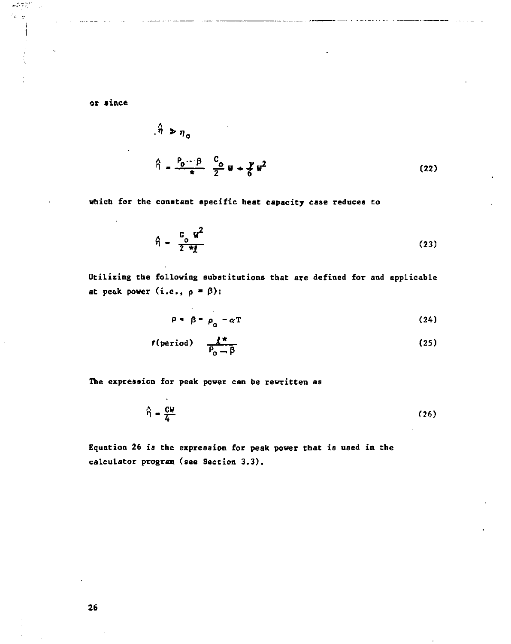or since

 $\mathcal{M}^{(d)}_{\mathcal{C}} \subseteq \mathcal{M}^{(d+1)}_{\mathcal{C}}$ 0. a

 $\sim$ 

$$
\hat{\eta} = \frac{P_0 - \beta}{\pi} \frac{C_0}{2} W + \frac{\gamma}{6} W^2
$$
 (22)

**which for the constant specific heat capacity case reduces to** 

$$
\hat{\eta} = \frac{c_o}{2 \pi t} \tag{23}
$$

**Ucilizing cbe following substitutions that are defined for and applicable**  at peak power  $(i.e., p = \beta)$ :

$$
\rho = \beta = \rho_0 - \alpha T \tag{24}
$$

$$
r(\text{period}) = \frac{f^*}{P_0 - \beta} \tag{25}
$$

**The expression for peak power can be rewritten as** 

$$
\hat{\eta} = \frac{CW}{4}
$$
 (26)

**Equation 26 is the expression for peak power that is used in the calculator program (see Section 3.3).**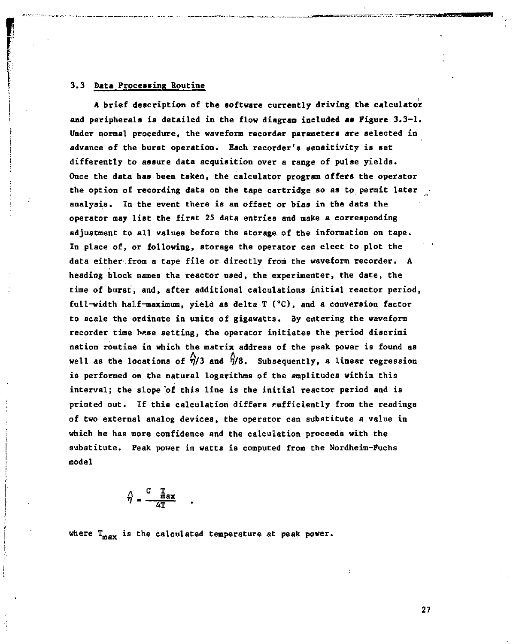#### **3.3 Data Processing Routine**

**A brief description of the software currently driving the calculator and peripherals is detailed in the flow diagram included as Figure 3.3-1. Under normal procedure, the waveform recorder parameters are selected in advance of the burst operation. Each recorder's aensitivity is Bet differently to assure data acquisition over a range of pulse yields. Once the data has been taken, the calculator program offers the operator the option of recording data on the tape cartridge so as to permit later analysis. In the event there is an offset or bias in the data the operator may list the first 25 data entries and make a corresponding adjustment to all values before the storage of the information on tape.**  In place of, or following, storage the operator can elect to plot the **data either from a tape file or directly from the waveform recorder. A heading block names the reactor used, the experimenter, the date, the time of burst, and, after additional calculations initial reactor period, full-width half-maximum, yield as delta T (°C), and a conversion factor to scale the ordinate in units of gigawatts. By entering the waveform recorder time [br.se s](http://br.se)etting, the operator initiates the period discrimi nation routine in which the matrix address of the peak power is found as**  well as the locations of  $\hat{\eta}/3$  and  $\hat{\eta}/8$ . Subsequently, a linear regression **is performed on the natural logarithms of the amplitudes within this interval; the slope'of this line is the initial reactor period and is printed out. If this calculation differs sufficiently from the readings of two external analog devices, the operator can substitute a value in which he has more confidence and the calculation proceeds with the substitute. Peak power in watts is computed from the Nordheim-Fuchs model** 

$$
\hat{\gamma} = \frac{C \quad \frac{T}{\text{max}}}{4T}
$$

**where T m a <sup>x</sup> ia the calculated temperature at peak power.**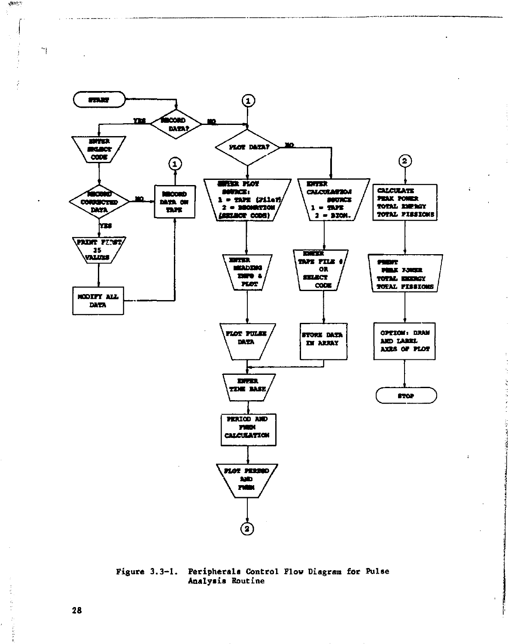

Figure  $3.3-1.$ Peripherals Control Flow Diagram for Pulse Analysis Routine

28

e de provincia

 $\mathcal{O}(10^{10})$ 

n,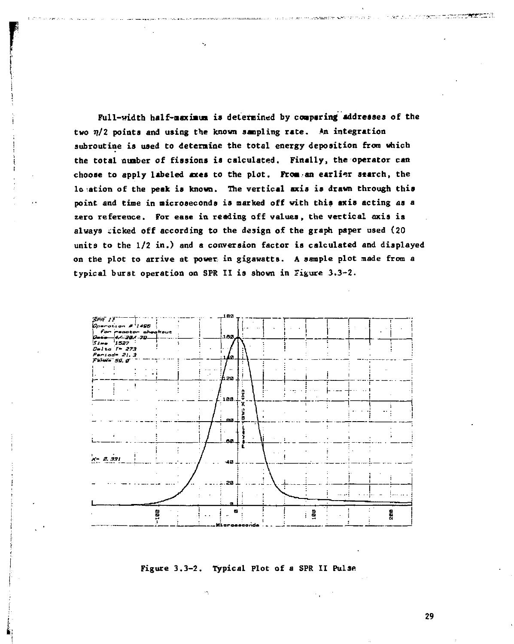**Full-width half-nsxiaua is determined by coaparing addresses of the two 17/2 points and using the known sampling rate . An integration subroutine is used to determine the total energy deposition from which the total number of fissions is calculated. Finally, the operator can**  choose to apply labeled axes to the plot. From an earlier search, the **location of the peak is known. The vertical axis is drawn through this point and time in microseconds is marked off with this axis acting as a**  zero reference. For ease in reading off values, the vertical axis is **always kicked off according to the design of the graph paper used (20 units to the 1/2 in.) and a conversion factor is calculated and displayed on the plot to arrive at power, in gigawatts. A sample plot made from a typical burst operation on SPR II is shown in Figure 3.3-2.** 

k.



**Figure 3.3-2. Typical Plot of a SPR II Pulae**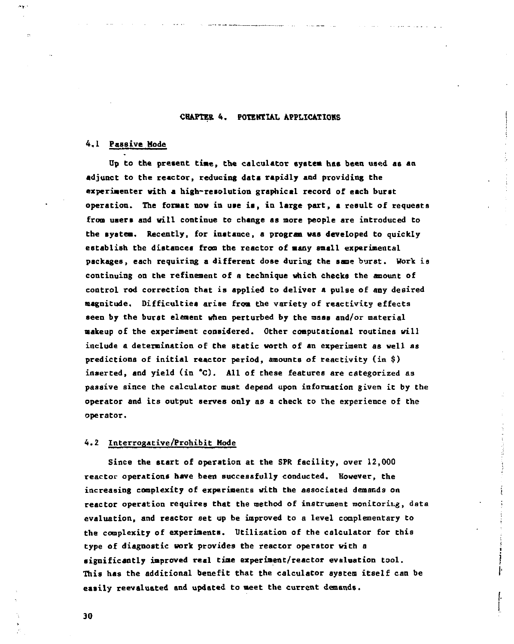#### **CHAPTER 4. POTENTIAL APPLICATIONS**

#### **4.1 Passive Mode**

**Up to the present time, the calculator system haa been used as an adjunct to the reactor, reducing data rapidly and providing the experimenter with a high-resolution graphical record of each burst operation. The format now in use is, in large part, a result of requests from users and will continue to change as more people are introduced to the system. Recently, for instance, a program was developed to quickly establish the distances from the reactor of atany snail experimental packages, each requiring a different dose during the same burst. Work ia continuing on the refinement of a technique which checks the amount of control rod correction that is applied to deliver a pulse of any desired magnitude. Difficulties arise fron the variety of reactivity effects seen by the burst eienent when perturbed by the mass and/or material nakeup of the experiment considered. Other computational routines will include a determination of the static worth of an experiment as well as predictions of initial reactor period, amounts of reactivity (in \$) inserted, and yield (in \*C). All of these features are categorized a3 passive since the calculator must depend upon information given it by the operator and its output serves only as a check to the experience of the operator.** 

#### **4.2 Interrogative/Prohibit Mode**

**Since the start of operation at the SPR facility, over 12,000 reactor operations have been successfully conducted. However, the increasing complexity of experiments with the associated demands on reactor operation requires that the method of instrument monitoring, data evaluation, and reactor set up be improved to a level complementary to the complexity of experiments. Utilization of the calculator for this type of diagnostic work provides the reactor operator with a significantly improved real time experiaent/reactor evaluation tool. This has the additional benefit that the calculator system itself can be easily reevaluated and updated to meet the current demands.**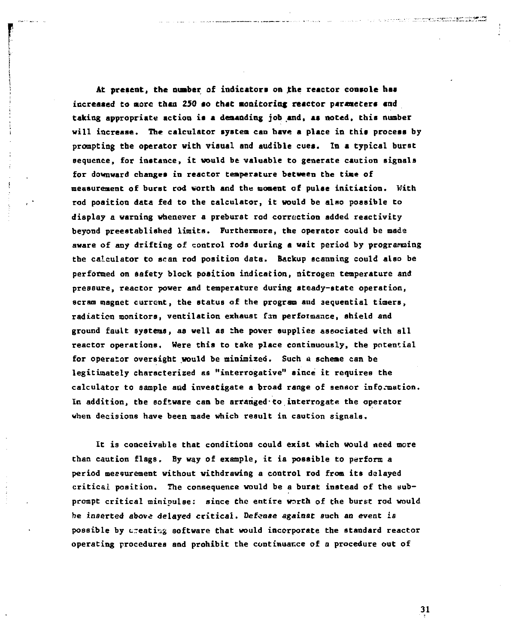At present, the number of indicators on the reactor console has **increaaed to more than 250 ao that monitoring reactor parametera and taking appropriate action ia a demanding job and, aa noted, thia number will increase. The calculator system can have a place in this process by prompting the operator with visual and audible cues. In a typical burst sequence, for instance, it would be valuable to generate caution signals for downward changes in reactor temperature between the time of measurement of burst rod worth and the moment of pulse initiation. With rod position data fed to the calculator, it would be also possible to display a warning whenever a preburst rod correction added reactivity beyond preestablished limits. Furthermore, the operator could be made aware of any drifting of control rods during a wait period by programing the calculator to scan rod position data. Backup scanning could also be performed on safety block position indication, nitrogen temperature and pressure, reactor power and temperature during steady-state operation, scram magnet current, the status of the program and sequential timers, radiation monitors, ventilation exhaust fan performance, shield and ground fault systems, as well as the power supplies associated with all reactor operations. Were this to take place continuously, the potential**  for operator oversight would be minimized. Such a scheme can be **legitimately characterized as "interrogative" aince it requires the calculator to sample and investigate a broad range of sensor information. In addition, the software can be arranged-to interrogate the operator when decisions have been made which result in caution signals.** 

**It is conceivable that conditions could exist which would need more than caution flags. By way of example, it is possible to perform a period measurement without withdrawing a control rod from its delayed critical position. The consequence would be a buret instead of the subprompt critical minipulse: since the entire worth of the burst rod would be inserted above delayed critical. Defense against such an event is possible by c-eati^g software that would incorporate the standard reactor operating procedures and prohibit the continuance of a procedure out of**